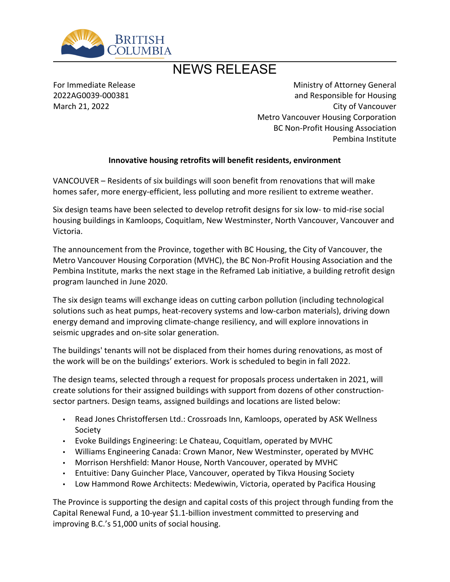

# NEWS RELEASE

For Immediate Release 2022AG0039-000381 March 21, 2022

Ministry of Attorney General and Responsible for Housing City of Vancouver Metro Vancouver Housing Corporation BC Non-Profit Housing Association Pembina Institute

#### **Innovative housing retrofits will benefit residents, environment**

VANCOUVER - Residents of six buildings will soon benefit from renovations that will make homes safer, more energy-efficient, less polluting and more resilient to extreme weather.

Six design teams have been selected to develop retrofit designs for six low- to mid-rise social housing buildings in Kamloops, Coquitlam, New Westminster, North Vancouver, Vancouver and Victoria.

The announcement from the Province, together with BC Housing, the City of Vancouver, the Metro Vancouver Housing Corporation (MVHC), the BC Non-Profit Housing Association and the Pembina Institute, marks the next stage in the Reframed Lab initiative, a building retrofit design program launched in June 2020.

The six design teams will exchange ideas on cutting carbon pollution (including technological solutions such as heat pumps, heat-recovery systems and low-carbon materials), driving down energy demand and improving climate-change resiliency, and will explore innovations in seismic upgrades and on-site solar generation.

The buildings' tenants will not be displaced from their homes during renovations, as most of the work will be on the buildings' exteriors. Work is scheduled to begin in fall 2022.

The design teams, selected through a request for proposals process undertaken in 2021, will create solutions for their assigned buildings with support from dozens of other constructionsector partners. Design teams, assigned buildings and locations are listed below:

- Read Jones Christoffersen Ltd.: Crossroads Inn, Kamloops, operated by ASK Wellness Society
- Evoke Buildings Engineering: Le Chateau, Coquitlam, operated by MVHC
- Williams Engineering Canada: Crown Manor, New Westminster, operated by MVHC
- Morrison Hershfield: Manor House, North Vancouver, operated by MVHC
- Entuitive: Dany Guincher Place, Vancouver, operated by Tikva Housing Society
- Low Hammond Rowe Architects: Medewiwin, Victoria, operated by Pacifica Housing

The Province is supporting the design and capital costs of this project through funding from the Capital Renewal Fund, a 10-year \$1.1-billion investment committed to preserving and improving B.C.'s 51,000 units of social housing.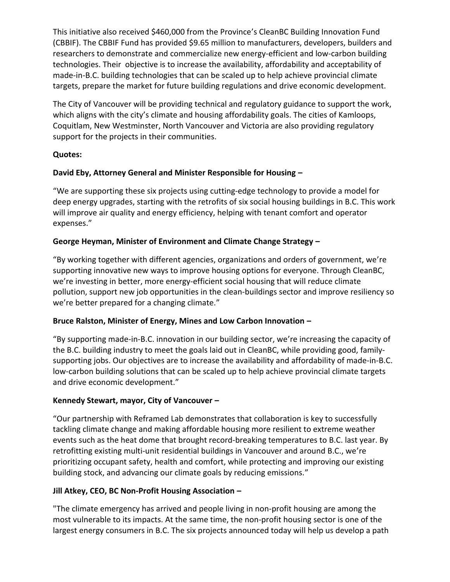This initiative also received \$460,000 from the Province's CleanBC Building Innovation Fund (CBBIF). The CBBIF Fund has provided \$9.65 million to manufacturers, developers, builders and researchers to demonstrate and commercialize new energy-efficient and low-carbon building technologies. Their objective is to increase the availability, affordability and acceptability of made-in-B.C. building technologies that can be scaled up to help achieve provincial climate targets, prepare the market for future building regulations and drive economic development.

The City of Vancouver will be providing technical and regulatory guidance to support the work, which aligns with the city's climate and housing affordability goals. The cities of Kamloops, Coquitlam, New Westminster, North Vancouver and Victoria are also providing regulatory support for the projects in their communities.

### **Quotes:**

### **David Eby, Attorney General and Minister Responsible for Housing ʹ**

͞We are supporting these six projects using cutting-edge technology to provide a model for deep energy upgrades, starting with the retrofits of six social housing buildings in B.C. This work will improve air quality and energy efficiency, helping with tenant comfort and operator expenses."

# George Heyman, Minister of Environment and Climate Change Strategy -

͞By working together with different agencies, organizations and orders of government, we͛re supporting innovative new ways to improve housing options for everyone. Through CleanBC, we're investing in better, more energy-efficient social housing that will reduce climate pollution, support new job opportunities in the clean-buildings sector and improve resiliency so we're better prepared for a changing climate."

### Bruce Ralston, Minister of Energy, Mines and Low Carbon Innovation -

͞By supporting made-in-B.C. innovation in our building sector, we͛re increasing the capacity of the B.C. building industry to meet the goals laid out in CleanBC, while providing good, familysupporting jobs. Our objectives are to increase the availability and affordability of made-in-B.C. low-carbon building solutions that can be scaled up to help achieve provincial climate targets and drive economic development."

### Kennedy Stewart, mayor, City of Vancouver -

͞Our partnership with Reframed Lab demonstrates that collaboration is key to successfully tackling climate change and making affordable housing more resilient to extreme weather events such as the heat dome that brought record-breaking temperatures to B.C. last year. By retrofitting existing multi-unit residential buildings in Vancouver and around B.C., we're prioritizing occupant safety, health and comfort, while protecting and improving our existing building stock, and advancing our climate goals by reducing emissions."

### **Jill Atkey, CEO, BC Non-Profit Housing Association ʹ**

"The climate emergency has arrived and people living in non-profit housing are among the most vulnerable to its impacts. At the same time, the non-profit housing sector is one of the largest energy consumers in B.C. The six projects announced today will help us develop a path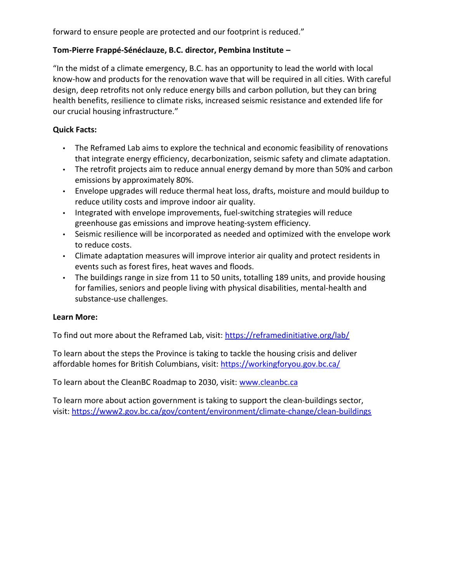forward to ensure people are protected and our footprint is reduced."

# **Tom-Pierre Frappé-Sénéclauze, B.C. director, Pembina Institute ʹ**

"In the midst of a climate emergency, B.C. has an opportunity to lead the world with local know-how and products for the renovation wave that will be required in all cities. With careful design, deep retrofits not only reduce energy bills and carbon pollution, but they can bring health benefits, resilience to climate risks, increased seismic resistance and extended life for our crucial housing infrastructure."

# **Quick Facts:**

- The Reframed Lab aims to explore the technical and economic feasibility of renovations that integrate energy efficiency, decarbonization, seismic safety and climate adaptation.
- The retrofit projects aim to reduce annual energy demand by more than 50% and carbon emissions by approximately 80%.
- Envelope upgrades will reduce thermal heat loss, drafts, moisture and mould buildup to reduce utility costs and improve indoor air quality.
- Integrated with envelope improvements, fuel-switching strategies will reduce greenhouse gas emissions and improve heating-system efficiency.
- Seismic resilience will be incorporated as needed and optimized with the envelope work to reduce costs.
- Climate adaptation measures will improve interior air quality and protect residents in events such as forest fires, heat waves and floods.
- The buildings range in size from 11 to 50 units, totalling 189 units, and provide housing for families, seniors and people living with physical disabilities, mental-health and substance-use challenges.

### **Learn More:**

To find out more about the Reframed Lab, visit:<https://reframedinitiative.org/lab/>

To learn about the steps the Province is taking to tackle the housing crisis and deliver affordable homes for British Columbians, visit:<https://workingforyou.gov.bc.ca/>

To learn about the CleanBC Roadmap to 2030, visit: [www.cleanbc.ca](http://www.cleanbc.ca/)

To learn more about action government is taking to support the clean-buildings sector, visit: <https://www2.gov.bc.ca/gov/content/environment/climate-change/clean-buildings>